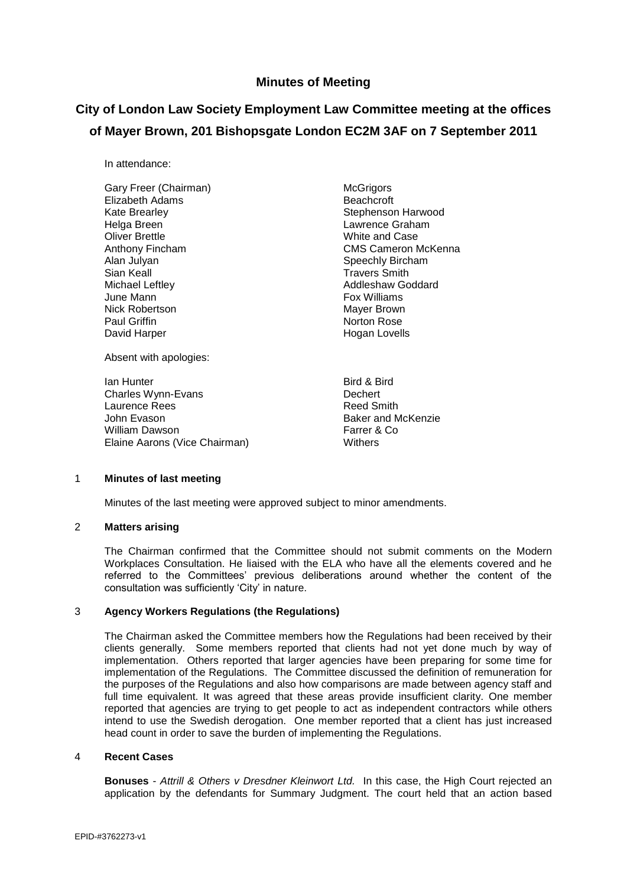## **Minutes of Meeting**

# **City of London Law Society Employment Law Committee meeting at the offices of Mayer Brown, 201 Bishopsgate London EC2M 3AF on 7 September 2011**

In attendance:

Gary Freer (Chairman) McGrigors Elizabeth Adams Beachcroft Kate Brearley **Stephenson Harwood** Helga Breen **Lawrence Graham** Oliver Brettle **Manufath Collective Collection**<br>
Anthony Fincham **Anthony Collection**<br>
CMS Cameron M Sian Keall **Sian Keall Sian Keall Sian Keall**<br>Michael Leftlev **Michael Sian Addleshaw Good** Michael Leftley **Addleshaw Goddard**<br>
Uune Mann Nick Robertson **Mayer Brown** Mayer Brown Paul Griffin **Norton Rose** Norton Rose David Harper **Hogan Lovells** 

Absent with apologies:

**Ian Hunter** Bird & Bird & Bird Charles Wynn-Evans **Dechert** Laurence Rees **Reed Smith** John Evason **Baker** and McKenzie William Dawson Farrer & Co Elaine Aarons (Vice Chairman)

Anthony Fincham **CMS** CMS Cameron McKenna<br>Alan Julvan CMS Cameron McKenna Speechly Bircham Fox Williams

#### 1 **Minutes of last meeting**

Minutes of the last meeting were approved subject to minor amendments.

## 2 **Matters arising**

The Chairman confirmed that the Committee should not submit comments on the Modern Workplaces Consultation. He liaised with the ELA who have all the elements covered and he referred to the Committees' previous deliberations around whether the content of the consultation was sufficiently 'City' in nature.

### 3 **Agency Workers Regulations (the Regulations)**

The Chairman asked the Committee members how the Regulations had been received by their clients generally. Some members reported that clients had not yet done much by way of implementation. Others reported that larger agencies have been preparing for some time for implementation of the Regulations. The Committee discussed the definition of remuneration for the purposes of the Regulations and also how comparisons are made between agency staff and full time equivalent. It was agreed that these areas provide insufficient clarity. One member reported that agencies are trying to get people to act as independent contractors while others intend to use the Swedish derogation. One member reported that a client has just increased head count in order to save the burden of implementing the Regulations.

### 4 **Recent Cases**

**Bonuses** - *Attrill & Others v Dresdner Kleinwort Ltd.* In this case, the High Court rejected an application by the defendants for Summary Judgment. The court held that an action based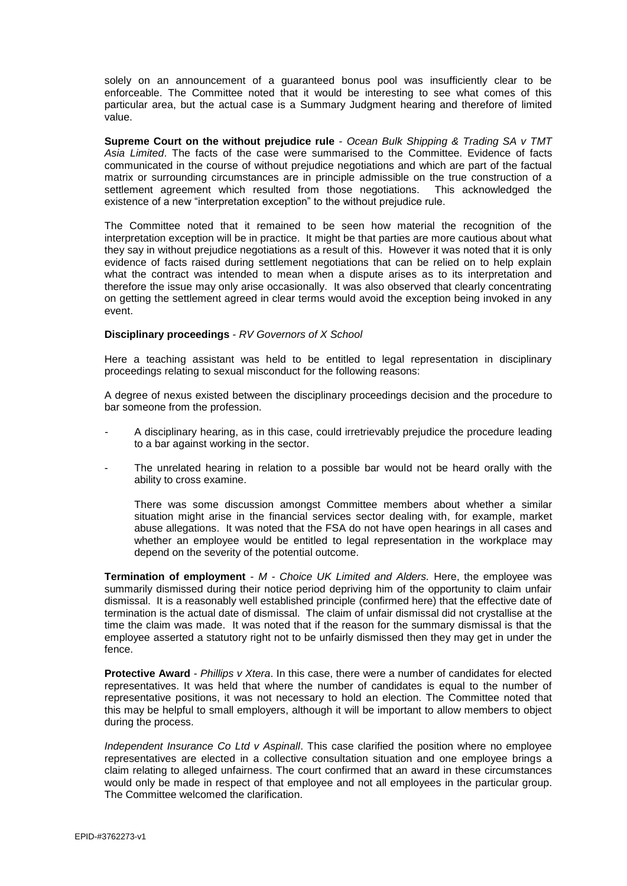solely on an announcement of a guaranteed bonus pool was insufficiently clear to be enforceable. The Committee noted that it would be interesting to see what comes of this particular area, but the actual case is a Summary Judgment hearing and therefore of limited value.

**Supreme Court on the without prejudice rule** - *Ocean Bulk Shipping & Trading SA v TMT Asia Limited*. The facts of the case were summarised to the Committee. Evidence of facts communicated in the course of without prejudice negotiations and which are part of the factual matrix or surrounding circumstances are in principle admissible on the true construction of a settlement agreement which resulted from those negotiations. This acknowledged the existence of a new "interpretation exception" to the without prejudice rule.

The Committee noted that it remained to be seen how material the recognition of the interpretation exception will be in practice. It might be that parties are more cautious about what they say in without prejudice negotiations as a result of this. However it was noted that it is only evidence of facts raised during settlement negotiations that can be relied on to help explain what the contract was intended to mean when a dispute arises as to its interpretation and therefore the issue may only arise occasionally. It was also observed that clearly concentrating on getting the settlement agreed in clear terms would avoid the exception being invoked in any event.

#### **Disciplinary proceedings** - *RV Governors of X School*

Here a teaching assistant was held to be entitled to legal representation in disciplinary proceedings relating to sexual misconduct for the following reasons:

A degree of nexus existed between the disciplinary proceedings decision and the procedure to bar someone from the profession.

- A disciplinary hearing, as in this case, could irretrievably prejudice the procedure leading to a bar against working in the sector.
- The unrelated hearing in relation to a possible bar would not be heard orally with the ability to cross examine.

There was some discussion amongst Committee members about whether a similar situation might arise in the financial services sector dealing with, for example, market abuse allegations. It was noted that the FSA do not have open hearings in all cases and whether an employee would be entitled to legal representation in the workplace may depend on the severity of the potential outcome.

**Termination of employment** - *M - Choice UK Limited and Alders.* Here, the employee was summarily dismissed during their notice period depriving him of the opportunity to claim unfair dismissal. It is a reasonably well established principle (confirmed here) that the effective date of termination is the actual date of dismissal. The claim of unfair dismissal did not crystallise at the time the claim was made. It was noted that if the reason for the summary dismissal is that the employee asserted a statutory right not to be unfairly dismissed then they may get in under the fence.

**Protective Award** - *Phillips v Xtera*. In this case, there were a number of candidates for elected representatives. It was held that where the number of candidates is equal to the number of representative positions, it was not necessary to hold an election. The Committee noted that this may be helpful to small employers, although it will be important to allow members to object during the process.

*Independent Insurance Co Ltd v Aspinall*. This case clarified the position where no employee representatives are elected in a collective consultation situation and one employee brings a claim relating to alleged unfairness. The court confirmed that an award in these circumstances would only be made in respect of that employee and not all employees in the particular group. The Committee welcomed the clarification.